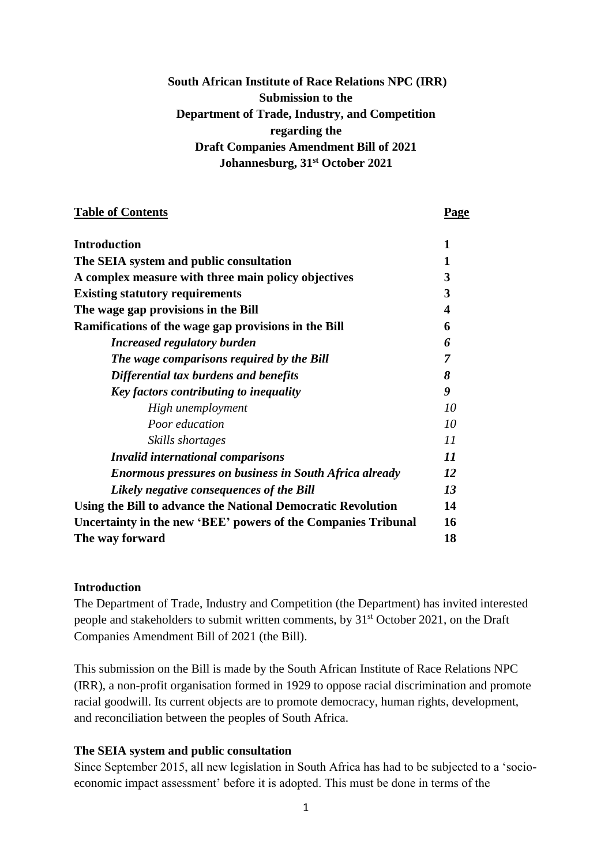# **South African Institute of Race Relations NPC (IRR) Submission to the Department of Trade, Industry, and Competition regarding the Draft Companies Amendment Bill of 2021 Johannesburg, 31st October 2021**

#### **Table of Contents Page**

| <b>Introduction</b>                                           | 1  |
|---------------------------------------------------------------|----|
| The SEIA system and public consultation                       | 1  |
| A complex measure with three main policy objectives           | 3  |
| <b>Existing statutory requirements</b>                        | 3  |
| The wage gap provisions in the Bill                           | 4  |
| Ramifications of the wage gap provisions in the Bill          | 6  |
| <b>Increased regulatory burden</b>                            | 6  |
| The wage comparisons required by the Bill                     | 7  |
| Differential tax burdens and benefits                         | 8  |
| Key factors contributing to inequality                        | 9  |
| High unemployment                                             | 10 |
| Poor education                                                | 10 |
| Skills shortages                                              | 11 |
| <b>Invalid international comparisons</b>                      | 11 |
| <b>Enormous pressures on business in South Africa already</b> | 12 |
| Likely negative consequences of the Bill                      | 13 |
| Using the Bill to advance the National Democratic Revolution  | 14 |
| Uncertainty in the new 'BEE' powers of the Companies Tribunal | 16 |
| The way forward                                               | 18 |

#### **Introduction**

The Department of Trade, Industry and Competition (the Department) has invited interested people and stakeholders to submit written comments, by  $31<sup>st</sup>$  October 2021, on the Draft Companies Amendment Bill of 2021 (the Bill).

This submission on the Bill is made by the South African Institute of Race Relations NPC (IRR), a non-profit organisation formed in 1929 to oppose racial discrimination and promote racial goodwill. Its current objects are to promote democracy, human rights, development, and reconciliation between the peoples of South Africa.

# **The SEIA system and public consultation**

Since September 2015, all new legislation in South Africa has had to be subjected to a 'socioeconomic impact assessment' before it is adopted. This must be done in terms of the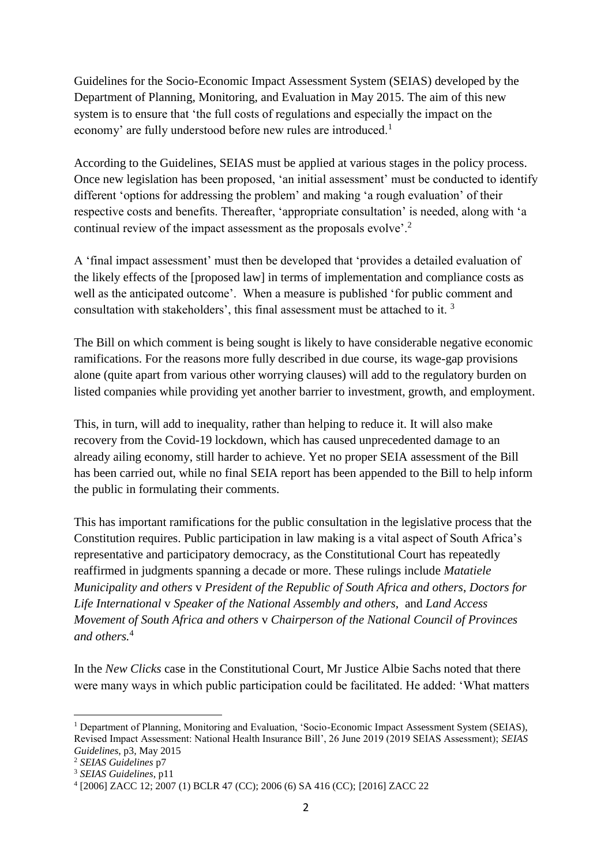Guidelines for the Socio-Economic Impact Assessment System (SEIAS) developed by the Department of Planning, Monitoring, and Evaluation in May 2015. The aim of this new system is to ensure that 'the full costs of regulations and especially the impact on the economy' are fully understood before new rules are introduced.<sup>1</sup>

According to the Guidelines, SEIAS must be applied at various stages in the policy process. Once new legislation has been proposed, 'an initial assessment' must be conducted to identify different 'options for addressing the problem' and making 'a rough evaluation' of their respective costs and benefits. Thereafter, 'appropriate consultation' is needed, along with 'a continual review of the impact assessment as the proposals evolve'.<sup>2</sup>

A 'final impact assessment' must then be developed that 'provides a detailed evaluation of the likely effects of the [proposed law] in terms of implementation and compliance costs as well as the anticipated outcome'. When a measure is published 'for public comment and consultation with stakeholders', this final assessment must be attached to it. <sup>3</sup>

The Bill on which comment is being sought is likely to have considerable negative economic ramifications. For the reasons more fully described in due course, its wage-gap provisions alone (quite apart from various other worrying clauses) will add to the regulatory burden on listed companies while providing yet another barrier to investment, growth, and employment.

This, in turn, will add to inequality, rather than helping to reduce it. It will also make recovery from the Covid-19 lockdown, which has caused unprecedented damage to an already ailing economy, still harder to achieve. Yet no proper SEIA assessment of the Bill has been carried out, while no final SEIA report has been appended to the Bill to help inform the public in formulating their comments.

This has important ramifications for the public consultation in the legislative process that the Constitution requires. Public participation in law making is a vital aspect of South Africa's representative and participatory democracy, as the Constitutional Court has repeatedly reaffirmed in judgments spanning a decade or more. These rulings include *Matatiele Municipality and others* v *President of the Republic of South Africa and others*, *Doctors for Life International* v *Speaker of the National Assembly and others*, and *Land Access Movement of South Africa and others* v *Chairperson of the National Council of Provinces and others.*<sup>4</sup>

In the *New Clicks* case in the Constitutional Court, Mr Justice Albie Sachs noted that there were many ways in which public participation could be facilitated. He added: 'What matters

-

<sup>&</sup>lt;sup>1</sup> Department of Planning, Monitoring and Evaluation, 'Socio-Economic Impact Assessment System (SEIAS), Revised Impact Assessment: National Health Insurance Bill', 26 June 2019 (2019 SEIAS Assessment); *SEIAS Guidelines*, p3, May 2015

<sup>2</sup> *SEIAS Guidelines* p7

<sup>3</sup> *SEIAS Guidelines*, p11

<sup>4</sup> [2006] ZACC 12; 2007 (1) BCLR 47 (CC); 2006 (6) SA 416 (CC); [2016] ZACC 22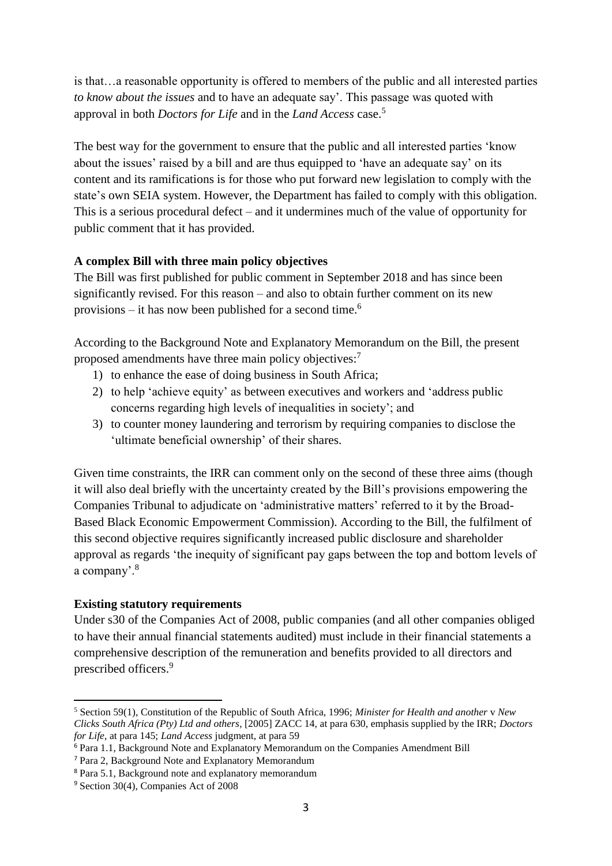is that…a reasonable opportunity is offered to members of the public and all interested parties *to know about the issues* and to have an adequate say'. This passage was quoted with approval in both *Doctors for Life* and in the *Land Access* case.<sup>5</sup>

The best way for the government to ensure that the public and all interested parties 'know about the issues' raised by a bill and are thus equipped to 'have an adequate say' on its content and its ramifications is for those who put forward new legislation to comply with the state's own SEIA system. However, the Department has failed to comply with this obligation. This is a serious procedural defect – and it undermines much of the value of opportunity for public comment that it has provided.

# **A complex Bill with three main policy objectives**

The Bill was first published for public comment in September 2018 and has since been significantly revised. For this reason – and also to obtain further comment on its new provisions – it has now been published for a second time.<sup>6</sup>

According to the Background Note and Explanatory Memorandum on the Bill, the present proposed amendments have three main policy objectives:<sup>7</sup>

- 1) to enhance the ease of doing business in South Africa;
- 2) to help 'achieve equity' as between executives and workers and 'address public concerns regarding high levels of inequalities in society'; and
- 3) to counter money laundering and terrorism by requiring companies to disclose the 'ultimate beneficial ownership' of their shares.

Given time constraints, the IRR can comment only on the second of these three aims (though it will also deal briefly with the uncertainty created by the Bill's provisions empowering the Companies Tribunal to adjudicate on 'administrative matters' referred to it by the Broad-Based Black Economic Empowerment Commission). According to the Bill, the fulfilment of this second objective requires significantly increased public disclosure and shareholder approval as regards 'the inequity of significant pay gaps between the top and bottom levels of a company'.<sup>8</sup>

# **Existing statutory requirements**

Under s30 of the Companies Act of 2008, public companies (and all other companies obliged to have their annual financial statements audited) must include in their financial statements a comprehensive description of the remuneration and benefits provided to all directors and prescribed officers. 9

-

<sup>5</sup> Section 59(1), Constitution of the Republic of South Africa, 1996; *Minister for Health and another* v *New Clicks South Africa (Pty) Ltd and others*, [2005] ZACC 14, at para 630, emphasis supplied by the IRR; *Doctors for Life*, at para 145; *Land Access* judgment, at para 59

<sup>6</sup> Para 1.1, Background Note and Explanatory Memorandum on the Companies Amendment Bill

<sup>7</sup> Para 2, Background Note and Explanatory Memorandum

<sup>8</sup> Para 5.1, Background note and explanatory memorandum

<sup>9</sup> Section 30(4), Companies Act of 2008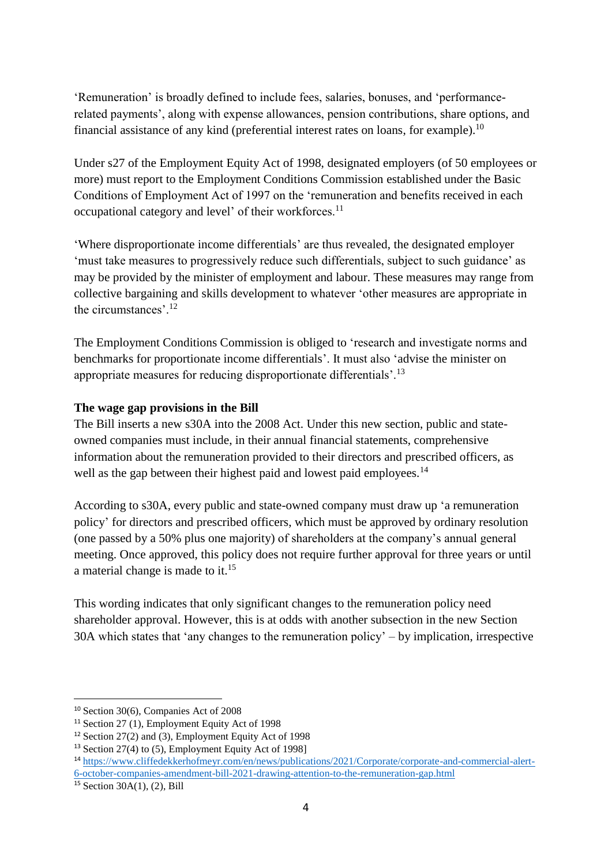'Remuneration' is broadly defined to include fees, salaries, bonuses, and 'performancerelated payments', along with expense allowances, pension contributions, share options, and financial assistance of any kind (preferential interest rates on loans, for example).<sup>10</sup>

Under s27 of the Employment Equity Act of 1998, designated employers (of 50 employees or more) must report to the Employment Conditions Commission established under the Basic Conditions of Employment Act of 1997 on the 'remuneration and benefits received in each occupational category and level' of their workforces.<sup>11</sup>

'Where disproportionate income differentials' are thus revealed, the designated employer 'must take measures to progressively reduce such differentials, subject to such guidance' as may be provided by the minister of employment and labour. These measures may range from collective bargaining and skills development to whatever 'other measures are appropriate in the circumstances'.<sup>12</sup>

The Employment Conditions Commission is obliged to 'research and investigate norms and benchmarks for proportionate income differentials'. It must also 'advise the minister on appropriate measures for reducing disproportionate differentials'.<sup>13</sup>

# **The wage gap provisions in the Bill**

The Bill inserts a new s30A into the 2008 Act. Under this new section, public and stateowned companies must include, in their annual financial statements, comprehensive information about the remuneration provided to their directors and prescribed officers, as well as the gap between their highest paid and lowest paid employees.<sup>14</sup>

According to s30A, every public and state-owned company must draw up 'a remuneration policy' for directors and prescribed officers, which must be approved by ordinary resolution (one passed by a 50% plus one majority) of shareholders at the company's annual general meeting. Once approved, this policy does not require further approval for three years or until a material change is made to it.<sup>15</sup>

This wording indicates that only significant changes to the remuneration policy need shareholder approval. However, this is at odds with another subsection in the new Section 30A which states that 'any changes to the remuneration policy' – by implication, irrespective

-

<sup>10</sup> Section 30(6), Companies Act of 2008

<sup>11</sup> Section 27 (1), Employment Equity Act of 1998

<sup>&</sup>lt;sup>12</sup> Section 27(2) and (3), Employment Equity Act of 1998

<sup>&</sup>lt;sup>13</sup> Section 27(4) to (5), Employment Equity Act of 1998]

<sup>14</sup> [https://www.cliffedekkerhofmeyr.com/en/news/publications/2021/Corporate/corporate-and-commercial-alert-](https://www.cliffedekkerhofmeyr.com/en/news/publications/2021/Corporate/corporate-and-commercial-alert-6-october-companies-amendment-bill-2021-drawing-attention-to-the-remuneration-gap.html)[6-october-companies-amendment-bill-2021-drawing-attention-to-the-remuneration-gap.html](https://www.cliffedekkerhofmeyr.com/en/news/publications/2021/Corporate/corporate-and-commercial-alert-6-october-companies-amendment-bill-2021-drawing-attention-to-the-remuneration-gap.html)

<sup>15</sup> Section 30A(1), (2), Bill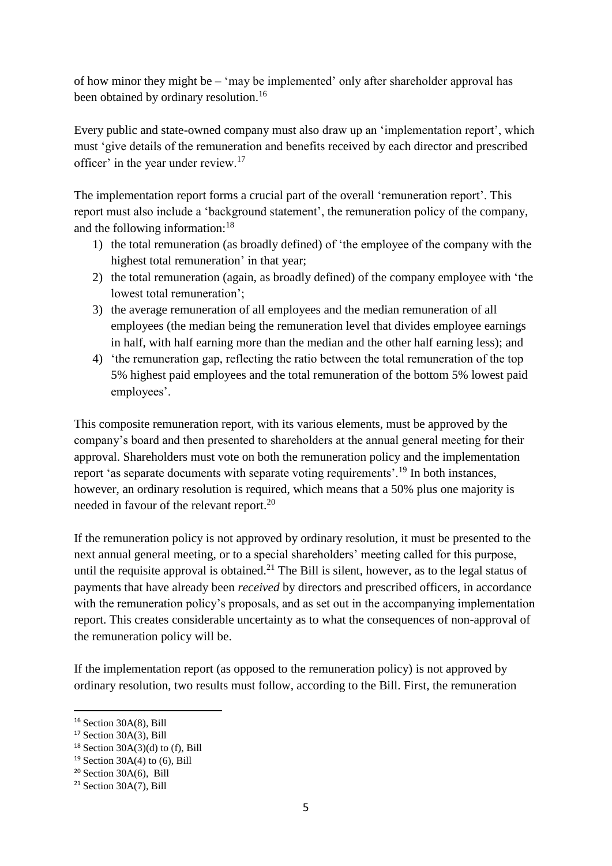of how minor they might be – 'may be implemented' only after shareholder approval has been obtained by ordinary resolution.<sup>16</sup>

Every public and state-owned company must also draw up an 'implementation report', which must 'give details of the remuneration and benefits received by each director and prescribed officer' in the year under review.<sup>17</sup>

The implementation report forms a crucial part of the overall 'remuneration report'. This report must also include a 'background statement', the remuneration policy of the company, and the following information:<sup>18</sup>

- 1) the total remuneration (as broadly defined) of 'the employee of the company with the highest total remuneration' in that year;
- 2) the total remuneration (again, as broadly defined) of the company employee with 'the lowest total remuneration';
- 3) the average remuneration of all employees and the median remuneration of all employees (the median being the remuneration level that divides employee earnings in half, with half earning more than the median and the other half earning less); and
- 4) 'the remuneration gap, reflecting the ratio between the total remuneration of the top 5% highest paid employees and the total remuneration of the bottom 5% lowest paid employees'.

This composite remuneration report, with its various elements, must be approved by the company's board and then presented to shareholders at the annual general meeting for their approval. Shareholders must vote on both the remuneration policy and the implementation report 'as separate documents with separate voting requirements'.<sup>19</sup> In both instances, however, an ordinary resolution is required, which means that a 50% plus one majority is needed in favour of the relevant report.<sup>20</sup>

If the remuneration policy is not approved by ordinary resolution, it must be presented to the next annual general meeting, or to a special shareholders' meeting called for this purpose, until the requisite approval is obtained.<sup>21</sup> The Bill is silent, however, as to the legal status of payments that have already been *received* by directors and prescribed officers, in accordance with the remuneration policy's proposals, and as set out in the accompanying implementation report. This creates considerable uncertainty as to what the consequences of non-approval of the remuneration policy will be.

If the implementation report (as opposed to the remuneration policy) is not approved by ordinary resolution, two results must follow, according to the Bill. First, the remuneration

1

 $16$  Section 30A(8), Bill

 $17$  Section 30A(3), Bill

 $18$  Section 30A(3)(d) to (f), Bill

 $19$  Section 30A(4) to (6), Bill

 $20$  Section 30A(6), Bill

 $21$  Section 30A(7), Bill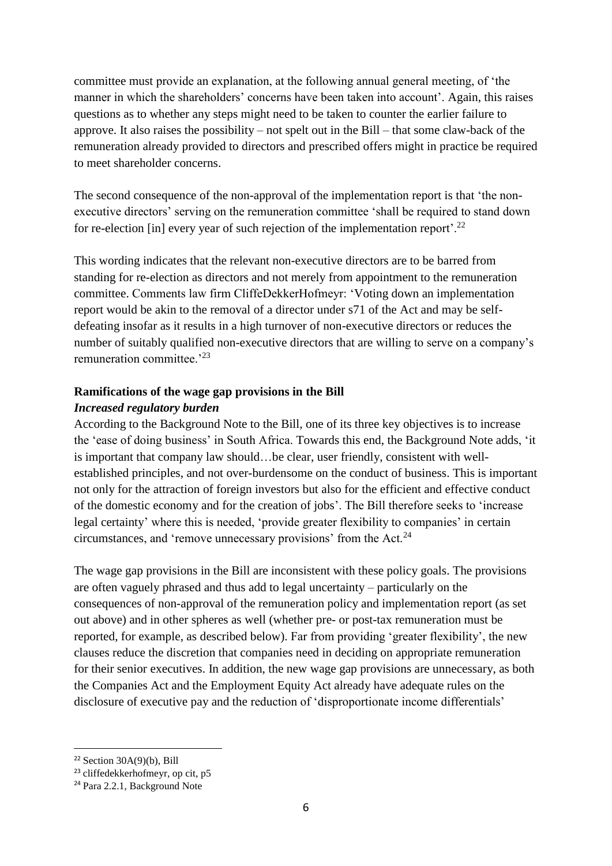committee must provide an explanation, at the following annual general meeting, of 'the manner in which the shareholders' concerns have been taken into account'. Again, this raises questions as to whether any steps might need to be taken to counter the earlier failure to approve. It also raises the possibility – not spelt out in the Bill – that some claw-back of the remuneration already provided to directors and prescribed offers might in practice be required to meet shareholder concerns.

The second consequence of the non-approval of the implementation report is that 'the nonexecutive directors' serving on the remuneration committee 'shall be required to stand down for re-election [in] every year of such rejection of the implementation report'.<sup>22</sup>

This wording indicates that the relevant non-executive directors are to be barred from standing for re-election as directors and not merely from appointment to the remuneration committee. Comments law firm CliffeDekkerHofmeyr: 'Voting down an implementation report would be akin to the removal of a director under s71 of the Act and may be selfdefeating insofar as it results in a high turnover of non-executive directors or reduces the number of suitably qualified non-executive directors that are willing to serve on a company's remuneration committee.<sup>23</sup>

# **Ramifications of the wage gap provisions in the Bill** *Increased regulatory burden*

According to the Background Note to the Bill, one of its three key objectives is to increase the 'ease of doing business' in South Africa. Towards this end, the Background Note adds, 'it is important that company law should…be clear, user friendly, consistent with wellestablished principles, and not over-burdensome on the conduct of business. This is important not only for the attraction of foreign investors but also for the efficient and effective conduct of the domestic economy and for the creation of jobs'. The Bill therefore seeks to 'increase legal certainty' where this is needed, 'provide greater flexibility to companies' in certain circumstances, and 'remove unnecessary provisions' from the Act.<sup>24</sup>

The wage gap provisions in the Bill are inconsistent with these policy goals. The provisions are often vaguely phrased and thus add to legal uncertainty – particularly on the consequences of non-approval of the remuneration policy and implementation report (as set out above) and in other spheres as well (whether pre- or post-tax remuneration must be reported, for example, as described below). Far from providing 'greater flexibility', the new clauses reduce the discretion that companies need in deciding on appropriate remuneration for their senior executives. In addition, the new wage gap provisions are unnecessary, as both the Companies Act and the Employment Equity Act already have adequate rules on the disclosure of executive pay and the reduction of 'disproportionate income differentials'

1

 $22$  Section 30A(9)(b), Bill

<sup>23</sup> cliffedekkerhofmeyr, op cit, p5

<sup>24</sup> Para 2.2.1, Background Note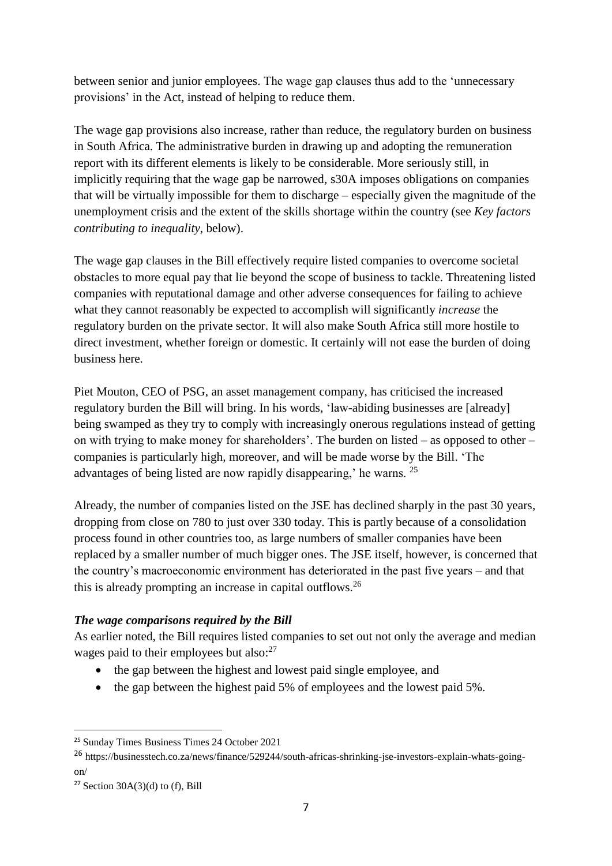between senior and junior employees. The wage gap clauses thus add to the 'unnecessary provisions' in the Act, instead of helping to reduce them.

The wage gap provisions also increase, rather than reduce, the regulatory burden on business in South Africa. The administrative burden in drawing up and adopting the remuneration report with its different elements is likely to be considerable. More seriously still, in implicitly requiring that the wage gap be narrowed, s30A imposes obligations on companies that will be virtually impossible for them to discharge – especially given the magnitude of the unemployment crisis and the extent of the skills shortage within the country (see *Key factors contributing to inequality*, below).

The wage gap clauses in the Bill effectively require listed companies to overcome societal obstacles to more equal pay that lie beyond the scope of business to tackle. Threatening listed companies with reputational damage and other adverse consequences for failing to achieve what they cannot reasonably be expected to accomplish will significantly *increase* the regulatory burden on the private sector. It will also make South Africa still more hostile to direct investment, whether foreign or domestic. It certainly will not ease the burden of doing business here.

Piet Mouton, CEO of PSG, an asset management company, has criticised the increased regulatory burden the Bill will bring. In his words, 'law-abiding businesses are [already] being swamped as they try to comply with increasingly onerous regulations instead of getting on with trying to make money for shareholders'. The burden on listed – as opposed to other – companies is particularly high, moreover, and will be made worse by the Bill. 'The advantages of being listed are now rapidly disappearing,' he warns. <sup>25</sup>

Already, the number of companies listed on the JSE has declined sharply in the past 30 years, dropping from close on 780 to just over 330 today. This is partly because of a consolidation process found in other countries too, as large numbers of smaller companies have been replaced by a smaller number of much bigger ones. The JSE itself, however, is concerned that the country's macroeconomic environment has deteriorated in the past five years – and that this is already prompting an increase in capital outflows.<sup>26</sup>

# *The wage comparisons required by the Bill*

As earlier noted, the Bill requires listed companies to set out not only the average and median wages paid to their employees but also:<sup>27</sup>

- the gap between the highest and lowest paid single employee, and
- $\bullet$  the gap between the highest paid 5% of employees and the lowest paid 5%.

<sup>&</sup>lt;sup>25</sup> Sunday Times Business Times 24 October 2021

<sup>26</sup> https://businesstech.co.za/news/finance/529244/south-africas-shrinking-jse-investors-explain-whats-goingon/

 $27$  Section 30A(3)(d) to (f), Bill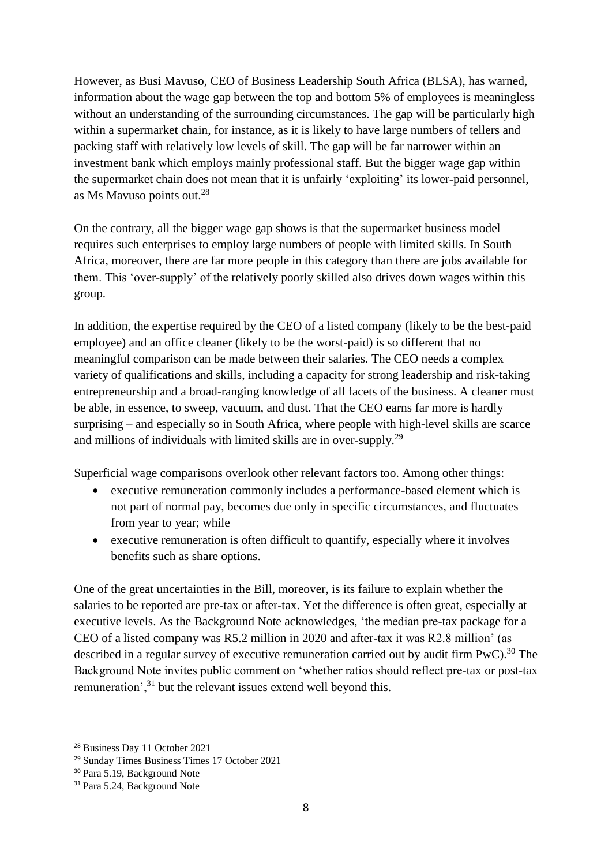However, as Busi Mavuso, CEO of Business Leadership South Africa (BLSA), has warned, information about the wage gap between the top and bottom 5% of employees is meaningless without an understanding of the surrounding circumstances. The gap will be particularly high within a supermarket chain, for instance, as it is likely to have large numbers of tellers and packing staff with relatively low levels of skill. The gap will be far narrower within an investment bank which employs mainly professional staff. But the bigger wage gap within the supermarket chain does not mean that it is unfairly 'exploiting' its lower-paid personnel, as Ms Mavuso points out. 28

On the contrary, all the bigger wage gap shows is that the supermarket business model requires such enterprises to employ large numbers of people with limited skills. In South Africa, moreover, there are far more people in this category than there are jobs available for them. This 'over-supply' of the relatively poorly skilled also drives down wages within this group.

In addition, the expertise required by the CEO of a listed company (likely to be the best-paid employee) and an office cleaner (likely to be the worst-paid) is so different that no meaningful comparison can be made between their salaries. The CEO needs a complex variety of qualifications and skills, including a capacity for strong leadership and risk-taking entrepreneurship and a broad-ranging knowledge of all facets of the business. A cleaner must be able, in essence, to sweep, vacuum, and dust. That the CEO earns far more is hardly surprising – and especially so in South Africa, where people with high-level skills are scarce and millions of individuals with limited skills are in over-supply.<sup>29</sup>

Superficial wage comparisons overlook other relevant factors too. Among other things:

- executive remuneration commonly includes a performance-based element which is not part of normal pay, becomes due only in specific circumstances, and fluctuates from year to year; while
- executive remuneration is often difficult to quantify, especially where it involves benefits such as share options.

One of the great uncertainties in the Bill, moreover, is its failure to explain whether the salaries to be reported are pre-tax or after-tax. Yet the difference is often great, especially at executive levels. As the Background Note acknowledges, 'the median pre-tax package for a CEO of a listed company was R5.2 million in 2020 and after-tax it was R2.8 million' (as described in a regular survey of executive remuneration carried out by audit firm  $PWC$ ).<sup>30</sup> The Background Note invites public comment on 'whether ratios should reflect pre-tax or post-tax remuneration',<sup>31</sup> but the relevant issues extend well beyond this.

<sup>28</sup> Business Day 11 October 2021

<sup>29</sup> Sunday Times Business Times 17 October 2021

<sup>30</sup> Para 5.19, Background Note

<sup>&</sup>lt;sup>31</sup> Para 5.24, Background Note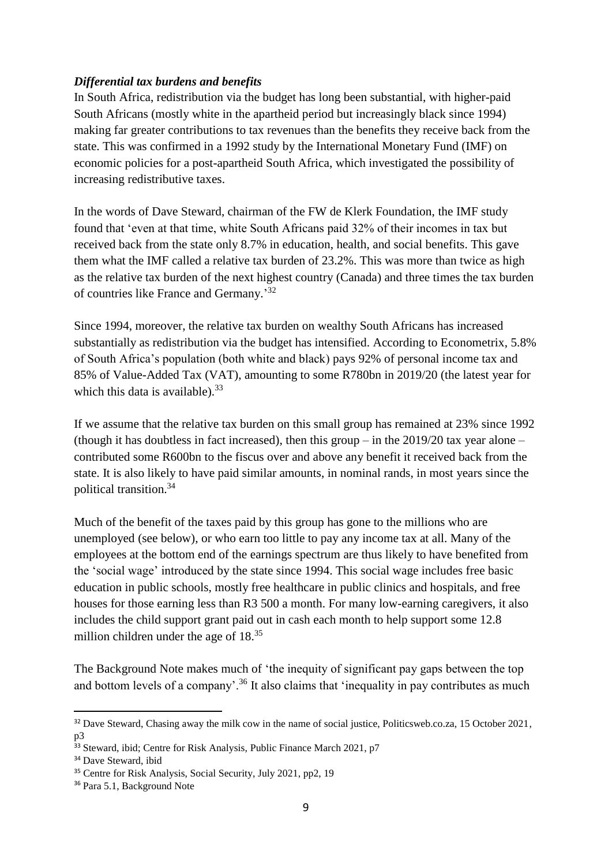### *Differential tax burdens and benefits*

In South Africa, redistribution via the budget has long been substantial, with higher-paid South Africans (mostly white in the apartheid period but increasingly black since 1994) making far greater contributions to tax revenues than the benefits they receive back from the state. This was confirmed in a 1992 study by the International Monetary Fund (IMF) on economic policies for a post-apartheid South Africa, which investigated the possibility of increasing redistributive taxes.

In the words of Dave Steward, chairman of the FW de Klerk Foundation, the IMF study found that 'even at that time, white South Africans paid 32% of their incomes in tax but received back from the state only 8.7% in education, health, and social benefits. This gave them what the IMF called a relative tax burden of 23.2%. This was more than twice as high as the relative tax burden of the next highest country (Canada) and three times the tax burden of countries like France and Germany.'<sup>32</sup>

Since 1994, moreover, the relative tax burden on wealthy South Africans has increased substantially as redistribution via the budget has intensified. According to Econometrix, 5.8% of South Africa's population (both white and black) pays 92% of personal income tax and 85% of Value-Added Tax (VAT), amounting to some R780bn in 2019/20 (the latest year for which this data is available).<sup>33</sup>

If we assume that the relative tax burden on this small group has remained at 23% since 1992 (though it has doubtless in fact increased), then this group – in the  $2019/20$  tax year alone – contributed some R600bn to the fiscus over and above any benefit it received back from the state. It is also likely to have paid similar amounts, in nominal rands, in most years since the political transition.<sup>34</sup>

Much of the benefit of the taxes paid by this group has gone to the millions who are unemployed (see below), or who earn too little to pay any income tax at all. Many of the employees at the bottom end of the earnings spectrum are thus likely to have benefited from the 'social wage' introduced by the state since 1994. This social wage includes free basic education in public schools, mostly free healthcare in public clinics and hospitals, and free houses for those earning less than R3 500 a month. For many low-earning caregivers, it also includes the child support grant paid out in cash each month to help support some 12.8 million children under the age of 18.<sup>35</sup>

The Background Note makes much of 'the inequity of significant pay gaps between the top and bottom levels of a company'.<sup>36</sup> It also claims that 'inequality in pay contributes as much

<sup>&</sup>lt;sup>32</sup> Dave Steward, Chasing away the milk cow in the name of social justice, Politicsweb.co.za, 15 October 2021, p3

<sup>&</sup>lt;sup>33</sup> Steward, ibid; Centre for Risk Analysis, Public Finance March 2021, p7

<sup>&</sup>lt;sup>34</sup> Dave Steward, ibid

<sup>&</sup>lt;sup>35</sup> Centre for Risk Analysis, Social Security, July 2021, pp2, 19

<sup>36</sup> Para 5.1, Background Note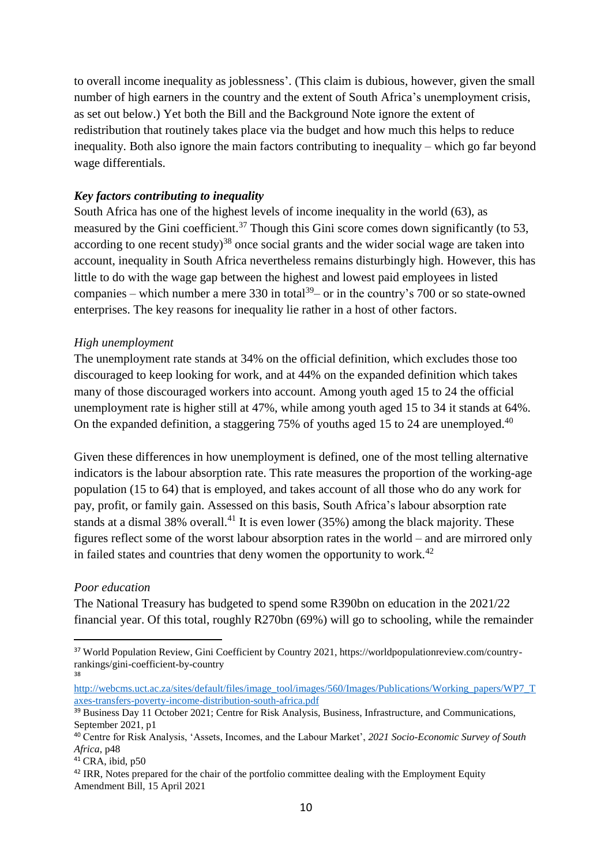to overall income inequality as joblessness'. (This claim is dubious, however, given the small number of high earners in the country and the extent of South Africa's unemployment crisis, as set out below.) Yet both the Bill and the Background Note ignore the extent of redistribution that routinely takes place via the budget and how much this helps to reduce inequality. Both also ignore the main factors contributing to inequality – which go far beyond wage differentials.

#### *Key factors contributing to inequality*

South Africa has one of the highest levels of income inequality in the world (63), as measured by the Gini coefficient.<sup>37</sup> Though this Gini score comes down significantly (to 53, according to one recent study)<sup>38</sup> once social grants and the wider social wage are taken into account, inequality in South Africa nevertheless remains disturbingly high. However, this has little to do with the wage gap between the highest and lowest paid employees in listed companies – which number a mere 330 in total<sup>39</sup> – or in the country's 700 or so state-owned enterprises. The key reasons for inequality lie rather in a host of other factors.

#### *High unemployment*

The unemployment rate stands at 34% on the official definition, which excludes those too discouraged to keep looking for work, and at 44% on the expanded definition which takes many of those discouraged workers into account. Among youth aged 15 to 24 the official unemployment rate is higher still at 47%, while among youth aged 15 to 34 it stands at 64%. On the expanded definition, a staggering 75% of youths aged 15 to 24 are unemployed.<sup>40</sup>

Given these differences in how unemployment is defined, one of the most telling alternative indicators is the labour absorption rate. This rate measures the proportion of the working-age population (15 to 64) that is employed, and takes account of all those who do any work for pay, profit, or family gain. Assessed on this basis, South Africa's labour absorption rate stands at a dismal 38% overall.<sup>41</sup> It is even lower  $(35%)$  among the black majority. These figures reflect some of the worst labour absorption rates in the world – and are mirrored only in failed states and countries that deny women the opportunity to work.<sup>42</sup>

#### *Poor education*

<u>.</u>

The National Treasury has budgeted to spend some R390bn on education in the 2021/22 financial year. Of this total, roughly R270bn (69%) will go to schooling, while the remainder

<sup>37</sup> World Population Review, Gini Coefficient by Country 2021, https://worldpopulationreview.com/countryrankings/gini-coefficient-by-country 38

[http://webcms.uct.ac.za/sites/default/files/image\\_tool/images/560/Images/Publications/Working\\_papers/WP7\\_T](http://webcms.uct.ac.za/sites/default/files/image_tool/images/560/Images/Publications/Working_papers/WP7_Taxes-transfers-poverty-income-distribution-south-africa.pdf) [axes-transfers-poverty-income-distribution-south-africa.pdf](http://webcms.uct.ac.za/sites/default/files/image_tool/images/560/Images/Publications/Working_papers/WP7_Taxes-transfers-poverty-income-distribution-south-africa.pdf)

<sup>39</sup> Business Day 11 October 2021; Centre for Risk Analysis, Business, Infrastructure, and Communications, September 2021, p1

<sup>40</sup> Centre for Risk Analysis, 'Assets, Incomes, and the Labour Market', *2021 Socio-Economic Survey of South Africa*, p48

 $41$  CRA, ibid, p50

<sup>&</sup>lt;sup>42</sup> IRR, Notes prepared for the chair of the portfolio committee dealing with the Employment Equity Amendment Bill, 15 April 2021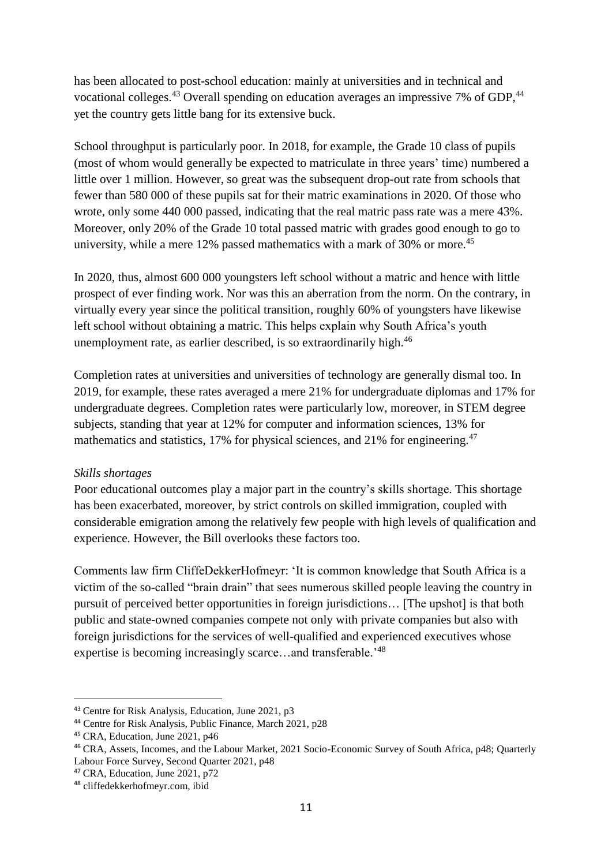has been allocated to post-school education: mainly at universities and in technical and vocational colleges.<sup>43</sup> Overall spending on education averages an impressive 7% of GDP,<sup>44</sup> yet the country gets little bang for its extensive buck.

School throughput is particularly poor. In 2018, for example, the Grade 10 class of pupils (most of whom would generally be expected to matriculate in three years' time) numbered a little over 1 million. However, so great was the subsequent drop-out rate from schools that fewer than 580 000 of these pupils sat for their matric examinations in 2020. Of those who wrote, only some 440 000 passed, indicating that the real matric pass rate was a mere 43%. Moreover, only 20% of the Grade 10 total passed matric with grades good enough to go to university, while a mere 12% passed mathematics with a mark of 30% or more.<sup>45</sup>

In 2020, thus, almost 600 000 youngsters left school without a matric and hence with little prospect of ever finding work. Nor was this an aberration from the norm. On the contrary, in virtually every year since the political transition, roughly 60% of youngsters have likewise left school without obtaining a matric. This helps explain why South Africa's youth unemployment rate, as earlier described, is so extraordinarily high.<sup>46</sup>

Completion rates at universities and universities of technology are generally dismal too. In 2019, for example, these rates averaged a mere 21% for undergraduate diplomas and 17% for undergraduate degrees. Completion rates were particularly low, moreover, in STEM degree subjects, standing that year at 12% for computer and information sciences, 13% for mathematics and statistics, 17% for physical sciences, and 21% for engineering.<sup>47</sup>

# *Skills shortages*

Poor educational outcomes play a major part in the country's skills shortage. This shortage has been exacerbated, moreover, by strict controls on skilled immigration, coupled with considerable emigration among the relatively few people with high levels of qualification and experience. However, the Bill overlooks these factors too.

Comments law firm CliffeDekkerHofmeyr: 'It is common knowledge that South Africa is a victim of the so-called "brain drain" that sees numerous skilled people leaving the country in pursuit of perceived better opportunities in foreign jurisdictions… [The upshot] is that both public and state-owned companies compete not only with private companies but also with foreign jurisdictions for the services of well-qualified and experienced executives whose expertise is becoming increasingly scarce…and transferable.'<sup>48</sup>

<sup>43</sup> Centre for Risk Analysis, Education, June 2021, p3

<sup>44</sup> Centre for Risk Analysis, Public Finance, March 2021, p28

<sup>45</sup> CRA, Education, June 2021, p46

<sup>46</sup> CRA, Assets, Incomes, and the Labour Market, 2021 Socio-Economic Survey of South Africa, p48; Quarterly Labour Force Survey, Second Quarter 2021, p48

<sup>47</sup> CRA, Education, June 2021, p72

<sup>48</sup> cliffedekkerhofmeyr.com, ibid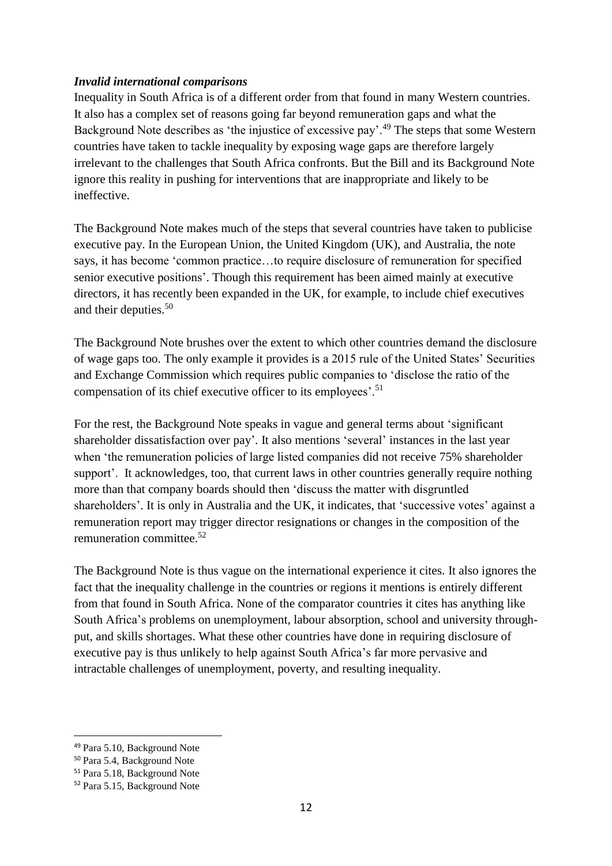### *Invalid international comparisons*

Inequality in South Africa is of a different order from that found in many Western countries. It also has a complex set of reasons going far beyond remuneration gaps and what the Background Note describes as 'the injustice of excessive pay'.<sup>49</sup> The steps that some Western countries have taken to tackle inequality by exposing wage gaps are therefore largely irrelevant to the challenges that South Africa confronts. But the Bill and its Background Note ignore this reality in pushing for interventions that are inappropriate and likely to be ineffective.

The Background Note makes much of the steps that several countries have taken to publicise executive pay. In the European Union, the United Kingdom (UK), and Australia, the note says, it has become 'common practice…to require disclosure of remuneration for specified senior executive positions'. Though this requirement has been aimed mainly at executive directors, it has recently been expanded in the UK, for example, to include chief executives and their deputies.<sup>50</sup>

The Background Note brushes over the extent to which other countries demand the disclosure of wage gaps too. The only example it provides is a 2015 rule of the United States' Securities and Exchange Commission which requires public companies to 'disclose the ratio of the compensation of its chief executive officer to its employees'.<sup>51</sup>

For the rest, the Background Note speaks in vague and general terms about 'significant shareholder dissatisfaction over pay'. It also mentions 'several' instances in the last year when 'the remuneration policies of large listed companies did not receive 75% shareholder support'. It acknowledges, too, that current laws in other countries generally require nothing more than that company boards should then 'discuss the matter with disgruntled shareholders'. It is only in Australia and the UK, it indicates, that 'successive votes' against a remuneration report may trigger director resignations or changes in the composition of the remuneration committee. 52

The Background Note is thus vague on the international experience it cites. It also ignores the fact that the inequality challenge in the countries or regions it mentions is entirely different from that found in South Africa. None of the comparator countries it cites has anything like South Africa's problems on unemployment, labour absorption, school and university throughput, and skills shortages. What these other countries have done in requiring disclosure of executive pay is thus unlikely to help against South Africa's far more pervasive and intractable challenges of unemployment, poverty, and resulting inequality.

<sup>49</sup> Para 5.10, Background Note

<sup>50</sup> Para 5.4, Background Note

<sup>51</sup> Para 5.18, Background Note

<sup>52</sup> Para 5.15, Background Note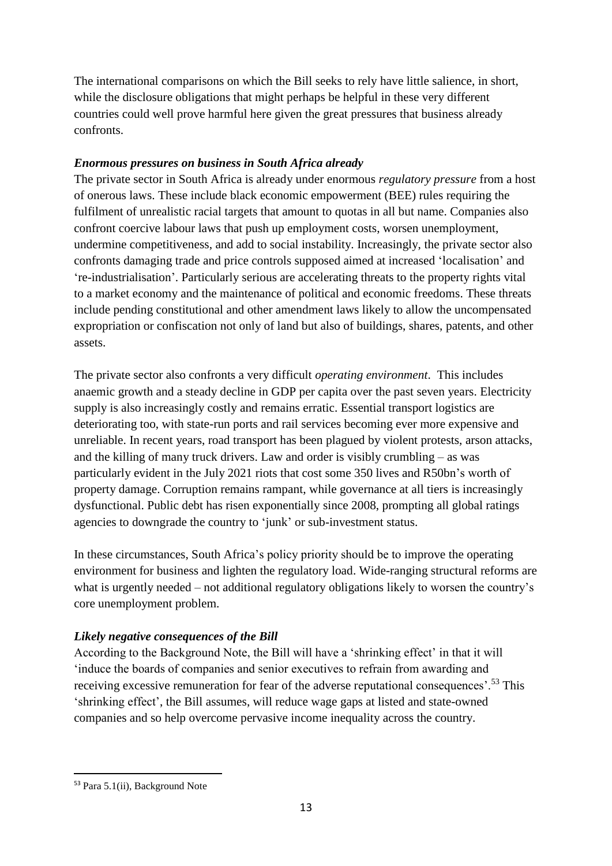The international comparisons on which the Bill seeks to rely have little salience, in short, while the disclosure obligations that might perhaps be helpful in these very different countries could well prove harmful here given the great pressures that business already confronts.

# *Enormous pressures on business in South Africa already*

The private sector in South Africa is already under enormous *regulatory pressure* from a host of onerous laws. These include black economic empowerment (BEE) rules requiring the fulfilment of unrealistic racial targets that amount to quotas in all but name. Companies also confront coercive labour laws that push up employment costs, worsen unemployment, undermine competitiveness, and add to social instability. Increasingly, the private sector also confronts damaging trade and price controls supposed aimed at increased 'localisation' and 're-industrialisation'. Particularly serious are accelerating threats to the property rights vital to a market economy and the maintenance of political and economic freedoms. These threats include pending constitutional and other amendment laws likely to allow the uncompensated expropriation or confiscation not only of land but also of buildings, shares, patents, and other assets.

The private sector also confronts a very difficult *operating environment*. This includes anaemic growth and a steady decline in GDP per capita over the past seven years. Electricity supply is also increasingly costly and remains erratic. Essential transport logistics are deteriorating too, with state-run ports and rail services becoming ever more expensive and unreliable. In recent years, road transport has been plagued by violent protests, arson attacks, and the killing of many truck drivers. Law and order is visibly crumbling – as was particularly evident in the July 2021 riots that cost some 350 lives and R50bn's worth of property damage. Corruption remains rampant, while governance at all tiers is increasingly dysfunctional. Public debt has risen exponentially since 2008, prompting all global ratings agencies to downgrade the country to 'junk' or sub-investment status.

In these circumstances, South Africa's policy priority should be to improve the operating environment for business and lighten the regulatory load. Wide-ranging structural reforms are what is urgently needed – not additional regulatory obligations likely to worsen the country's core unemployment problem.

# *Likely negative consequences of the Bill*

According to the Background Note, the Bill will have a 'shrinking effect' in that it will 'induce the boards of companies and senior executives to refrain from awarding and receiving excessive remuneration for fear of the adverse reputational consequences'.<sup>53</sup> This 'shrinking effect', the Bill assumes, will reduce wage gaps at listed and state-owned companies and so help overcome pervasive income inequality across the country.

<sup>1</sup> <sup>53</sup> Para 5.1(ii), Background Note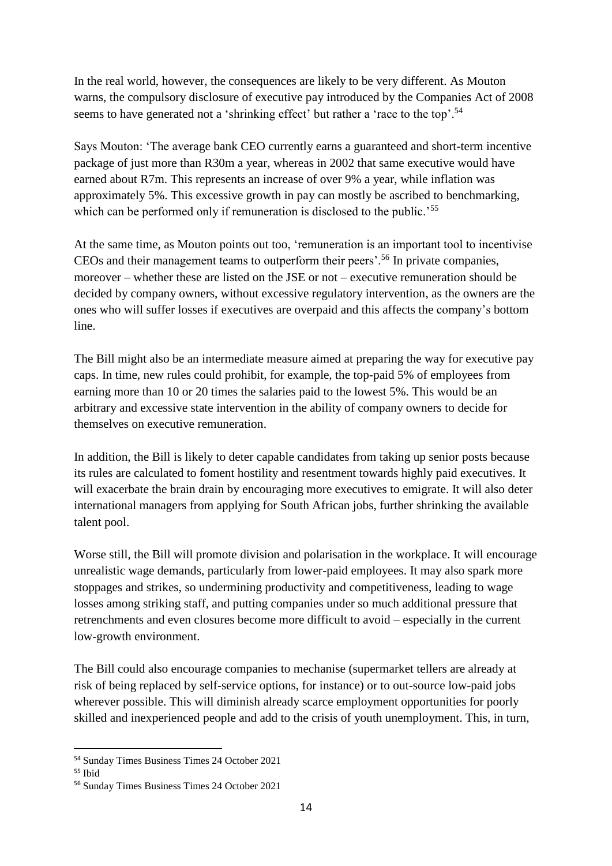In the real world, however, the consequences are likely to be very different. As Mouton warns, the compulsory disclosure of executive pay introduced by the Companies Act of 2008 seems to have generated not a 'shrinking effect' but rather a 'race to the top'.<sup>54</sup>

Says Mouton: 'The average bank CEO currently earns a guaranteed and short-term incentive package of just more than R30m a year, whereas in 2002 that same executive would have earned about R7m. This represents an increase of over 9% a year, while inflation was approximately 5%. This excessive growth in pay can mostly be ascribed to benchmarking, which can be performed only if remuneration is disclosed to the public.<sup>55</sup>

At the same time, as Mouton points out too, 'remuneration is an important tool to incentivise CEOs and their management teams to outperform their peers'.<sup>56</sup> In private companies, moreover – whether these are listed on the JSE or not – executive remuneration should be decided by company owners, without excessive regulatory intervention, as the owners are the ones who will suffer losses if executives are overpaid and this affects the company's bottom line.

The Bill might also be an intermediate measure aimed at preparing the way for executive pay caps. In time, new rules could prohibit, for example, the top-paid 5% of employees from earning more than 10 or 20 times the salaries paid to the lowest 5%. This would be an arbitrary and excessive state intervention in the ability of company owners to decide for themselves on executive remuneration.

In addition, the Bill is likely to deter capable candidates from taking up senior posts because its rules are calculated to foment hostility and resentment towards highly paid executives. It will exacerbate the brain drain by encouraging more executives to emigrate. It will also deter international managers from applying for South African jobs, further shrinking the available talent pool.

Worse still, the Bill will promote division and polarisation in the workplace. It will encourage unrealistic wage demands, particularly from lower-paid employees. It may also spark more stoppages and strikes, so undermining productivity and competitiveness, leading to wage losses among striking staff, and putting companies under so much additional pressure that retrenchments and even closures become more difficult to avoid – especially in the current low-growth environment.

The Bill could also encourage companies to mechanise (supermarket tellers are already at risk of being replaced by self-service options, for instance) or to out-source low-paid jobs wherever possible. This will diminish already scarce employment opportunities for poorly skilled and inexperienced people and add to the crisis of youth unemployment. This, in turn,

<sup>1</sup> <sup>54</sup> Sunday Times Business Times 24 October 2021

<sup>55</sup> Ibid

<sup>56</sup> Sunday Times Business Times 24 October 2021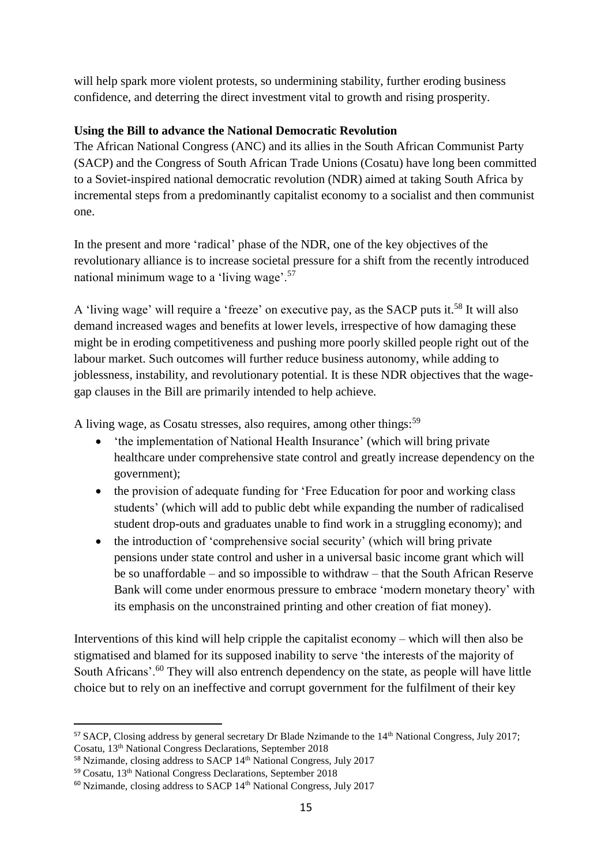will help spark more violent protests, so undermining stability, further eroding business confidence, and deterring the direct investment vital to growth and rising prosperity.

# **Using the Bill to advance the National Democratic Revolution**

The African National Congress (ANC) and its allies in the South African Communist Party (SACP) and the Congress of South African Trade Unions (Cosatu) have long been committed to a Soviet-inspired national democratic revolution (NDR) aimed at taking South Africa by incremental steps from a predominantly capitalist economy to a socialist and then communist one.

In the present and more 'radical' phase of the NDR, one of the key objectives of the revolutionary alliance is to increase societal pressure for a shift from the recently introduced national minimum wage to a 'living wage'.<sup>57</sup>

A 'living wage' will require a 'freeze' on executive pay, as the SACP puts it.<sup>58</sup> It will also demand increased wages and benefits at lower levels, irrespective of how damaging these might be in eroding competitiveness and pushing more poorly skilled people right out of the labour market. Such outcomes will further reduce business autonomy, while adding to joblessness, instability, and revolutionary potential. It is these NDR objectives that the wagegap clauses in the Bill are primarily intended to help achieve.

A living wage, as Cosatu stresses, also requires, among other things:<sup>59</sup>

- 'the implementation of National Health Insurance' (which will bring private healthcare under comprehensive state control and greatly increase dependency on the government);
- the provision of adequate funding for 'Free Education for poor and working class students' (which will add to public debt while expanding the number of radicalised student drop-outs and graduates unable to find work in a struggling economy); and
- the introduction of 'comprehensive social security' (which will bring private pensions under state control and usher in a universal basic income grant which will be so unaffordable – and so impossible to withdraw – that the South African Reserve Bank will come under enormous pressure to embrace 'modern monetary theory' with its emphasis on the unconstrained printing and other creation of fiat money).

Interventions of this kind will help cripple the capitalist economy – which will then also be stigmatised and blamed for its supposed inability to serve 'the interests of the majority of South Africans'.<sup>60</sup> They will also entrench dependency on the state, as people will have little choice but to rely on an ineffective and corrupt government for the fulfilment of their key

<sup>&</sup>lt;u>.</u> <sup>57</sup> SACP, Closing address by general secretary Dr Blade Nzimande to the 14<sup>th</sup> National Congress, July 2017; Cosatu, 13th National Congress Declarations, September 2018

<sup>&</sup>lt;sup>58</sup> Nzimande, closing address to SACP 14<sup>th</sup> National Congress, July 2017

<sup>59</sup> Cosatu, 13th National Congress Declarations, September 2018

 $60$  Nzimande, closing address to SACP  $14<sup>th</sup>$  National Congress, July 2017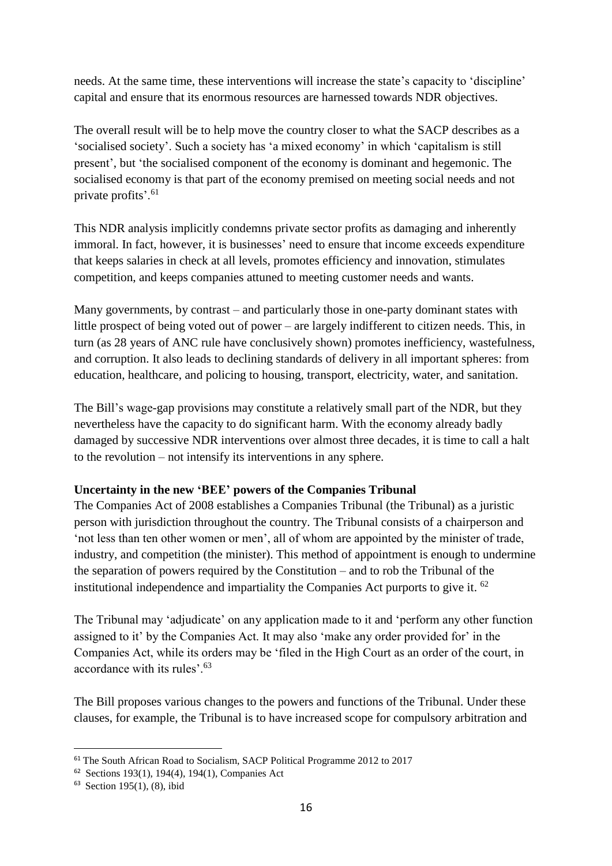needs. At the same time, these interventions will increase the state's capacity to 'discipline' capital and ensure that its enormous resources are harnessed towards NDR objectives.

The overall result will be to help move the country closer to what the SACP describes as a 'socialised society'. Such a society has 'a mixed economy' in which 'capitalism is still present', but 'the socialised component of the economy is dominant and hegemonic. The socialised economy is that part of the economy premised on meeting social needs and not private profits'.<sup>61</sup>

This NDR analysis implicitly condemns private sector profits as damaging and inherently immoral. In fact, however, it is businesses' need to ensure that income exceeds expenditure that keeps salaries in check at all levels, promotes efficiency and innovation, stimulates competition, and keeps companies attuned to meeting customer needs and wants.

Many governments, by contrast – and particularly those in one-party dominant states with little prospect of being voted out of power – are largely indifferent to citizen needs. This, in turn (as 28 years of ANC rule have conclusively shown) promotes inefficiency, wastefulness, and corruption. It also leads to declining standards of delivery in all important spheres: from education, healthcare, and policing to housing, transport, electricity, water, and sanitation.

The Bill's wage-gap provisions may constitute a relatively small part of the NDR, but they nevertheless have the capacity to do significant harm. With the economy already badly damaged by successive NDR interventions over almost three decades, it is time to call a halt to the revolution – not intensify its interventions in any sphere.

# **Uncertainty in the new 'BEE' powers of the Companies Tribunal**

The Companies Act of 2008 establishes a Companies Tribunal (the Tribunal) as a juristic person with jurisdiction throughout the country. The Tribunal consists of a chairperson and 'not less than ten other women or men', all of whom are appointed by the minister of trade, industry, and competition (the minister). This method of appointment is enough to undermine the separation of powers required by the Constitution – and to rob the Tribunal of the institutional independence and impartiality the Companies Act purports to give it.  $62$ 

The Tribunal may 'adjudicate' on any application made to it and 'perform any other function assigned to it' by the Companies Act. It may also 'make any order provided for' in the Companies Act, while its orders may be 'filed in the High Court as an order of the court, in accordance with its rules'.<sup>63</sup>

The Bill proposes various changes to the powers and functions of the Tribunal. Under these clauses, for example, the Tribunal is to have increased scope for compulsory arbitration and

1

<sup>&</sup>lt;sup>61</sup> The South African Road to Socialism, SACP Political Programme 2012 to 2017

<sup>62</sup> Sections 193(1), 194(4), 194(1), Companies Act

<sup>63</sup> Section 195(1), (8), ibid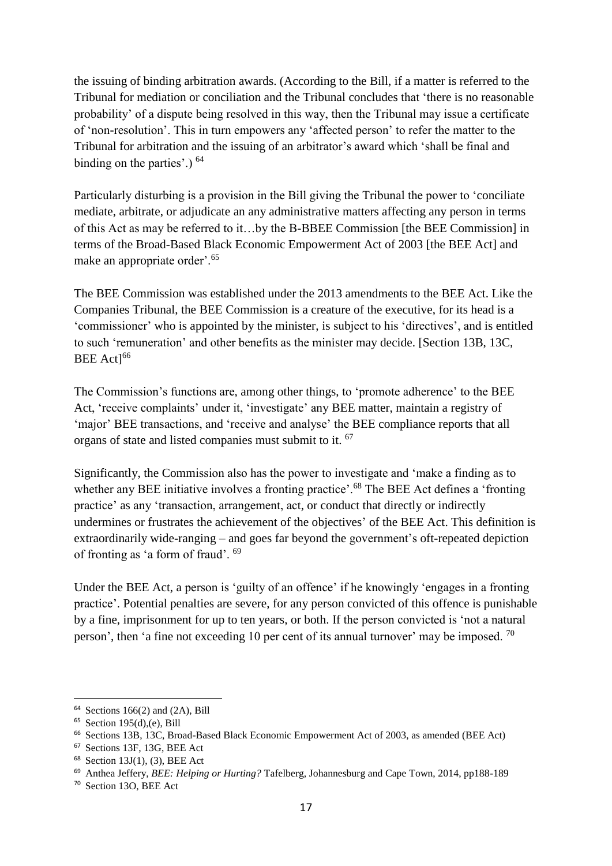the issuing of binding arbitration awards. (According to the Bill, if a matter is referred to the Tribunal for mediation or conciliation and the Tribunal concludes that 'there is no reasonable probability' of a dispute being resolved in this way, then the Tribunal may issue a certificate of 'non-resolution'. This in turn empowers any 'affected person' to refer the matter to the Tribunal for arbitration and the issuing of an arbitrator's award which 'shall be final and binding on the parties'.) <sup>64</sup>

Particularly disturbing is a provision in the Bill giving the Tribunal the power to 'conciliate mediate, arbitrate, or adjudicate an any administrative matters affecting any person in terms of this Act as may be referred to it…by the B-BBEE Commission [the BEE Commission] in terms of the Broad-Based Black Economic Empowerment Act of 2003 [the BEE Act] and make an appropriate order'.<sup>65</sup>

The BEE Commission was established under the 2013 amendments to the BEE Act. Like the Companies Tribunal, the BEE Commission is a creature of the executive, for its head is a 'commissioner' who is appointed by the minister, is subject to his 'directives', and is entitled to such 'remuneration' and other benefits as the minister may decide. [Section 13B, 13C, BEE Act<sup>166</sup>

The Commission's functions are, among other things, to 'promote adherence' to the BEE Act, 'receive complaints' under it, 'investigate' any BEE matter, maintain a registry of 'major' BEE transactions, and 'receive and analyse' the BEE compliance reports that all organs of state and listed companies must submit to it. <sup>67</sup>

Significantly, the Commission also has the power to investigate and 'make a finding as to whether any BEE initiative involves a fronting practice'.<sup>68</sup> The BEE Act defines a 'fronting' practice' as any 'transaction, arrangement, act, or conduct that directly or indirectly undermines or frustrates the achievement of the objectives' of the BEE Act. This definition is extraordinarily wide-ranging – and goes far beyond the government's oft-repeated depiction of fronting as 'a form of fraud'. <sup>69</sup>

Under the BEE Act, a person is 'guilty of an offence' if he knowingly 'engages in a fronting practice'. Potential penalties are severe, for any person convicted of this offence is punishable by a fine, imprisonment for up to ten years, or both. If the person convicted is 'not a natural person', then 'a fine not exceeding 10 per cent of its annual turnover' may be imposed.  $^{70}$ 

<sup>64</sup> Sections 166(2) and (2A), Bill

<sup>65</sup> Section 195(d),(e), Bill

<sup>66</sup> Sections 13B, 13C, Broad-Based Black Economic Empowerment Act of 2003, as amended (BEE Act)

<sup>67</sup> Sections 13F, 13G, BEE Act

<sup>68</sup> Section 13J(1), (3), BEE Act

<sup>69</sup> Anthea Jeffery, *BEE: Helping or Hurting?* Tafelberg, Johannesburg and Cape Town, 2014, pp188-189

<sup>70</sup> Section 13O, BEE Act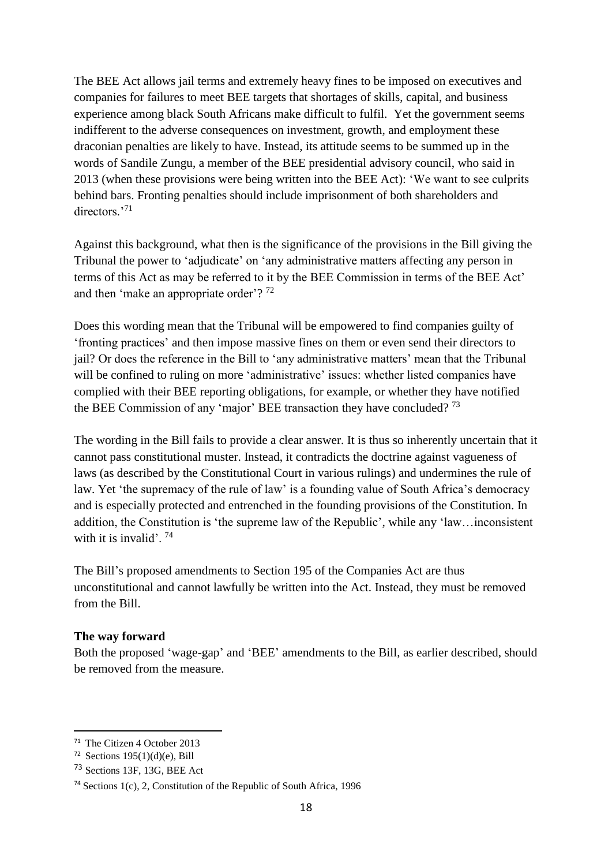The BEE Act allows jail terms and extremely heavy fines to be imposed on executives and companies for failures to meet BEE targets that shortages of skills, capital, and business experience among black South Africans make difficult to fulfil. Yet the government seems indifferent to the adverse consequences on investment, growth, and employment these draconian penalties are likely to have. Instead, its attitude seems to be summed up in the words of Sandile Zungu, a member of the BEE presidential advisory council, who said in 2013 (when these provisions were being written into the BEE Act): 'We want to see culprits behind bars. Fronting penalties should include imprisonment of both shareholders and directors<sup>371</sup>

Against this background, what then is the significance of the provisions in the Bill giving the Tribunal the power to 'adjudicate' on 'any administrative matters affecting any person in terms of this Act as may be referred to it by the BEE Commission in terms of the BEE Act' and then 'make an appropriate order'?<sup>72</sup>

Does this wording mean that the Tribunal will be empowered to find companies guilty of 'fronting practices' and then impose massive fines on them or even send their directors to jail? Or does the reference in the Bill to 'any administrative matters' mean that the Tribunal will be confined to ruling on more 'administrative' issues: whether listed companies have complied with their BEE reporting obligations, for example, or whether they have notified the BEE Commission of any 'major' BEE transaction they have concluded?  $73$ 

The wording in the Bill fails to provide a clear answer. It is thus so inherently uncertain that it cannot pass constitutional muster. Instead, it contradicts the doctrine against vagueness of laws (as described by the Constitutional Court in various rulings) and undermines the rule of law. Yet 'the supremacy of the rule of law' is a founding value of South Africa's democracy and is especially protected and entrenched in the founding provisions of the Constitution. In addition, the Constitution is 'the supreme law of the Republic', while any 'law…inconsistent with it is invalid'.  $74$ 

The Bill's proposed amendments to Section 195 of the Companies Act are thus unconstitutional and cannot lawfully be written into the Act. Instead, they must be removed from the Bill.

#### **The way forward**

<u>.</u>

Both the proposed 'wage-gap' and 'BEE' amendments to the Bill, as earlier described, should be removed from the measure.

<sup>&</sup>lt;sup>71</sup> The Citizen 4 October 2013

 $72$  Sections 195(1)(d)(e), Bill

<sup>73</sup> Sections 13F, 13G, BEE Act

<sup>74</sup> Sections 1(c), 2, Constitution of the Republic of South Africa, 1996